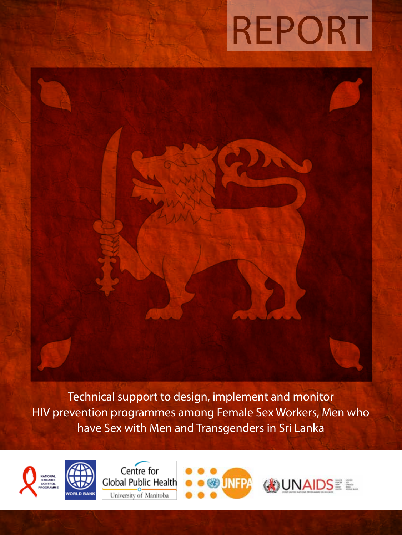# Report

Technical support to design, implement and monitor HIV prevention programmes among Female Sex Workers, Men who have Sex with Men and Transgenders in Sri Lanka







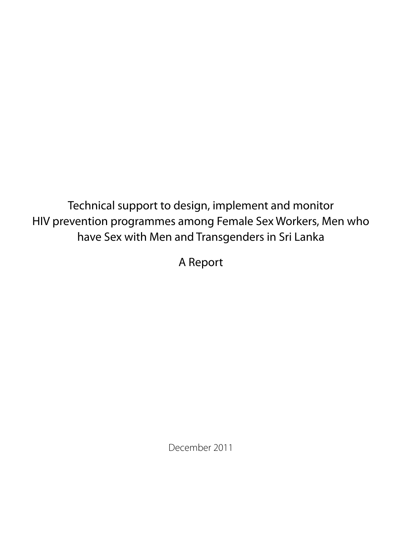Technical support to design, implement and monitor HIV prevention programmes among Female Sex Workers, Men who have Sex with Men and Transgenders in Sri Lanka

A Report

December 2011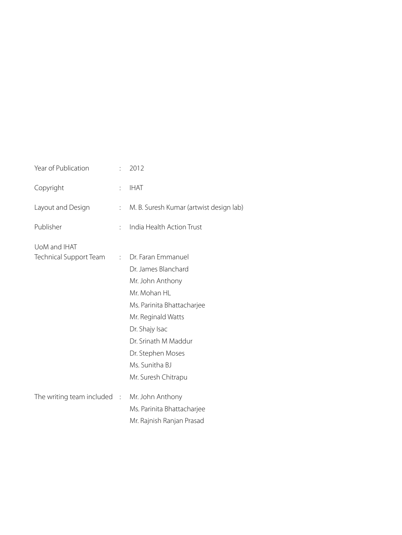| Year of Publication                    |                | 2012                                    |
|----------------------------------------|----------------|-----------------------------------------|
| Copyright                              |                | <b>IHAT</b>                             |
| Layout and Design                      | $\ddot{\cdot}$ | M. B. Suresh Kumar (artwist design lab) |
| Publisher                              | $\ddot{\cdot}$ | India Health Action Trust               |
| UoM and IHAT                           |                |                                         |
| Technical Support Team                 |                | Dr. Faran Emmanuel<br>$\mathcal{L}$     |
|                                        |                | Dr. James Blanchard                     |
|                                        |                | Mr. John Anthony                        |
|                                        |                | Mr. Mohan HL                            |
|                                        |                | Ms. Parinita Bhattacharjee              |
|                                        |                | Mr. Reginald Watts                      |
|                                        |                | Dr. Shajy Isac                          |
|                                        |                | Dr. Srinath M Maddur                    |
|                                        |                | Dr. Stephen Moses                       |
|                                        |                | Ms. Sunitha BJ                          |
|                                        |                | Mr. Suresh Chitrapu                     |
| The writing team included $\therefore$ |                | Mr. John Anthony                        |
|                                        |                | Ms. Parinita Bhattacharjee              |
|                                        |                | Mr. Rajnish Ranjan Prasad               |
|                                        |                |                                         |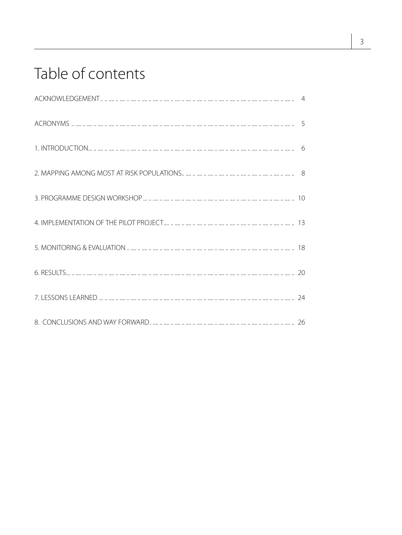### Table of contents

| 1. INTRODUCTION |  |
|-----------------|--|
|                 |  |
|                 |  |
|                 |  |
|                 |  |
|                 |  |
|                 |  |
|                 |  |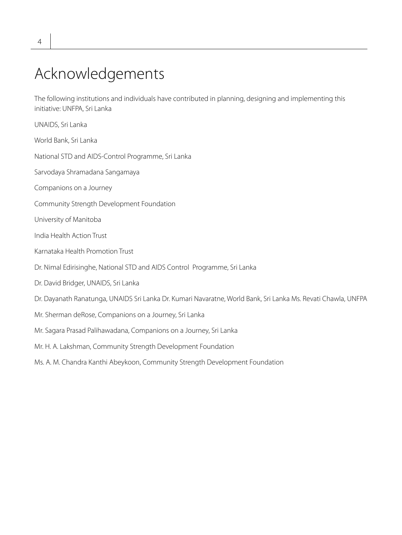### Acknowledgements

The following institutions and individuals have contributed in planning, designing and implementing this initiative: UNFPA, Sri Lanka

| UNAIDS, Sri Lanka                                                                                             |
|---------------------------------------------------------------------------------------------------------------|
| World Bank, Sri Lanka                                                                                         |
| National STD and AIDS-Control Programme, Sri Lanka                                                            |
| Sarvodaya Shramadana Sangamaya                                                                                |
| Companions on a Journey                                                                                       |
| Community Strength Development Foundation                                                                     |
| University of Manitoba                                                                                        |
| India Health Action Trust                                                                                     |
| Karnataka Health Promotion Trust                                                                              |
| Dr. Nimal Edirisinghe, National STD and AIDS Control Programme, Sri Lanka                                     |
| Dr. David Bridger, UNAIDS, Sri Lanka                                                                          |
| Dr. Dayanath Ranatunga, UNAIDS Sri Lanka Dr. Kumari Navaratne, World Bank, Sri Lanka Ms. Revati Chawla, UNFPA |
| Mr. Sherman deRose, Companions on a Journey, Sri Lanka                                                        |
| Mr. Sagara Prasad Palihawadana, Companions on a Journey, Sri Lanka                                            |
| Mr. H. A. Lakshman, Community Strength Development Foundation                                                 |
| Ms. A. M. Chandra Kanthi Abeykoon, Community Strength Development Foundation                                  |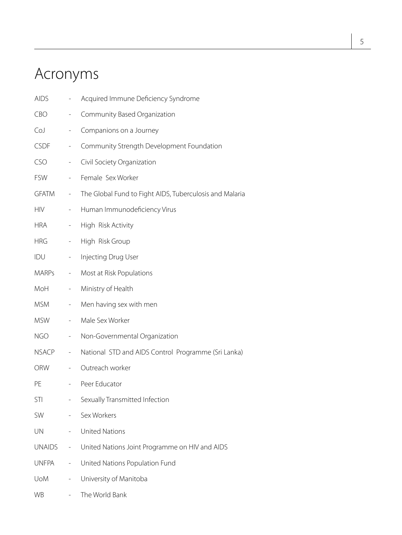### Acronyms

| <b>AIDS</b>   |                              | Acquired Immune Deficiency Syndrome                     |
|---------------|------------------------------|---------------------------------------------------------|
| CBO           | $\overline{\phantom{0}}$     | Community Based Organization                            |
| CoJ           | $\overline{\phantom{0}}$     | Companions on a Journey                                 |
| <b>CSDF</b>   | -                            | Community Strength Development Foundation               |
| CSO           | $\overline{\phantom{a}}$     | Civil Society Organization                              |
| <b>FSW</b>    | $\overline{\phantom{0}}$     | Female Sex Worker                                       |
| <b>GFATM</b>  | $\sim$                       | The Global Fund to Fight AIDS, Tuberculosis and Malaria |
| <b>HIV</b>    | $\sim$                       | Human Immunodeficiency Virus                            |
| <b>HRA</b>    | $\qquad \qquad \blacksquare$ | High Risk Activity                                      |
| <b>HRG</b>    | $\sim$                       | High Risk Group                                         |
| IDU           | $\overline{\phantom{a}}$     | Injecting Drug User                                     |
| MARPs         | $\overline{\phantom{a}}$     | Most at Risk Populations                                |
| MoH           | $\qquad \qquad \blacksquare$ | Ministry of Health                                      |
| <b>MSM</b>    | $\overline{\phantom{m}}$     | Men having sex with men                                 |
| <b>MSW</b>    | $\qquad \qquad -$            | Male Sex Worker                                         |
| <b>NGO</b>    | $\overline{\phantom{a}}$     | Non-Governmental Organization                           |
| NSACP         | $\sim$                       | National STD and AIDS Control Programme (Sri Lanka)     |
| <b>ORW</b>    | $\overline{\phantom{a}}$     | Outreach worker                                         |
| PE            | $\overline{\phantom{0}}$     | Peer Educator                                           |
| STI           |                              | Sexually Transmitted Infection                          |
| SW            |                              | Sex Workers                                             |
| UN            |                              | <b>United Nations</b>                                   |
| <b>UNAIDS</b> | -                            | United Nations Joint Programme on HIV and AIDS          |
| <b>UNFPA</b>  | -                            | United Nations Population Fund                          |
| <b>UoM</b>    | $\overline{\phantom{0}}$     | University of Manitoba                                  |
| <b>WB</b>     |                              | The World Bank                                          |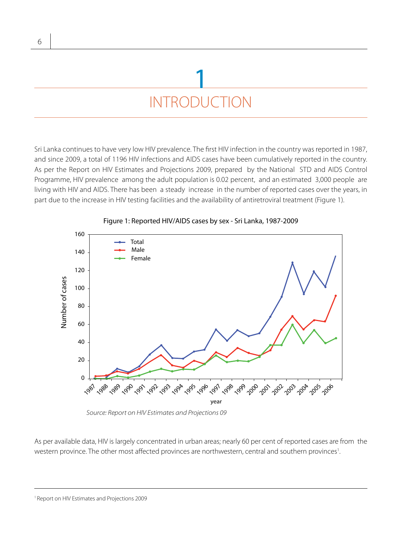### INTRODUCTION 1

Sri Lanka continues to have very low HIV prevalence. The first HIV infection in the country was reported in 1987, and since 2009, a total of 1196 HIV infections and AIDS cases have been cumulatively reported in the country. As per the Report on HIV Estimates and Projections 2009, prepared by the National STD and AIDS Control Programme, HIV prevalence among the adult population is 0.02 percent, and an estimated 3,000 people are living with HIV and AIDS. There has been a steady increase in the number of reported cases over the years, in part due to the increase in HIV testing facilities and the availability of antiretroviral treatment (Figure 1).



#### Figure 1: Reported HIV/AIDS cases by sex - Sri Lanka, 1987-2009

*Source: Report on HIV Estimates and Projections 09*

As per available data, HIV is largely concentrated in urban areas; nearly 60 per cent of reported cases are from the western province. The other most affected provinces are northwestern, central and southern provinces<sup>1</sup>. .

6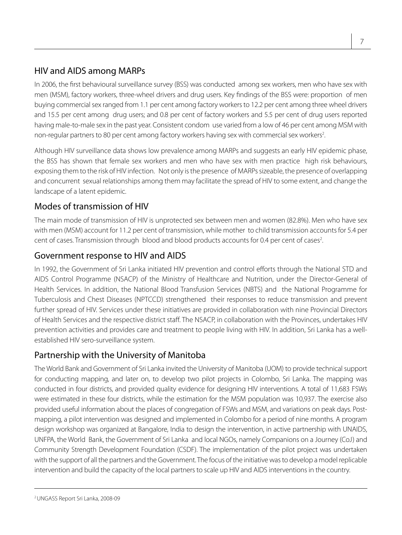#### HIV and AIDS among MARPs

In 2006, the first behavioural surveillance survey (BSS) was conducted among sex workers, men who have sex with men (MSM), factory workers, three-wheel drivers and drug users. Key findings of the BSS were: proportion of men buying commercial sex ranged from 1.1 per cent among factory workers to 12.2 per cent among three wheel drivers and 15.5 per cent among drug users; and 0.8 per cent of factory workers and 5.5 per cent of drug users reported having male-to-male sex in the past year. Consistent condom use varied from a low of 46 per cent among MSM with non-regular partners to 80 per cent among factory workers having sex with commercial sex workers<sup>2</sup>. .

Although HIV surveillance data shows low prevalence among MARPs and suggests an early HIV epidemic phase, the BSS has shown that female sex workers and men who have sex with men practice high risk behaviours, exposing them to the risk of HIV infection. Not only is the presence of MARPs sizeable, the presence of overlapping and concurrent sexual relationships among them may facilitate the spread of HIV to some extent, and change the landscape of a latent epidemic.

#### Modes of transmission of HIV

The main mode of transmission of HIV is unprotected sex between men and women (82.8%). Men who have sex with men (MSM) account for 11.2 per cent of transmission, while mother to child transmission accounts for 5.4 per cent of cases. Transmission through blood and blood products accounts for 0.4 per cent of cases<sup>2</sup>. .

#### Government response to HIV and AIDS

In 1992, the Government of Sri Lanka initiated HIV prevention and control efforts through the National STD and AIDS Control Programme (NSACP) of the Ministry of Healthcare and Nutrition, under the Director-General of Health Services. In addition, the National Blood Transfusion Services (NBTS) and the National Programme for Tuberculosis and Chest Diseases (NPTCCD) strengthened their responses to reduce transmission and prevent further spread of HIV. Services under these initiatives are provided in collaboration with nine Provincial Directors of Health Services and the respective district staff. The NSACP, in collaboration with the Provinces, undertakes HIV prevention activities and provides care and treatment to people living with HIV. In addition, Sri Lanka has a wellestablished HIV sero-surveillance system.

#### Partnership with the University of Manitoba

The World Bank and Government of Sri Lanka invited the University of Manitoba (UOM) to provide technical support for conducting mapping, and later on, to develop two pilot projects in Colombo, Sri Lanka. The mapping was conducted in four districts, and provided quality evidence for designing HIV interventions. A total of 11,683 FSWs were estimated in these four districts, while the estimation for the MSM population was 10,937. The exercise also provided useful information about the places of congregation of FSWs and MSM, and variations on peak days. Postmapping, a pilot intervention was designed and implemented in Colombo for a period of nine months. A program design workshop was organized at Bangalore, India to design the intervention, in active partnership with UNAIDS, UNFPA, the World Bank, the Government of Sri Lanka and local NGOs, namely Companions on a Journey (CoJ) and Community Strength Development Foundation (CSDF). The implementation of the pilot project was undertaken with the support of all the partners and the Government. The focus of the initiative was to develop a model replicable intervention and build the capacity of the local partners to scale up HIV and AIDS interventions in the country.

2 UNGASS Report Sri Lanka, 2008-09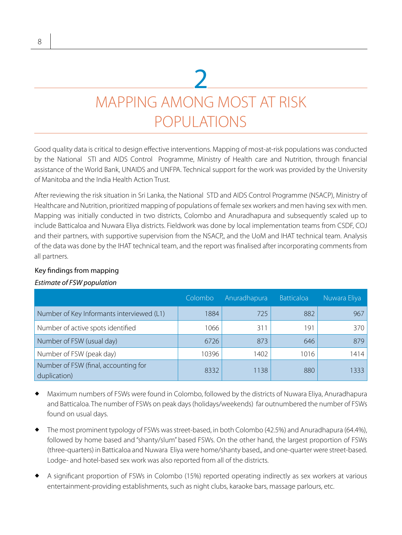### MAPPING AMONG MOST AT RISK POPULATIONS 2

Good quality data is critical to design effective interventions. Mapping of most-at-risk populations was conducted by the National STI and AIDS Control Programme, Ministry of Health care and Nutrition, through financial assistance of the World Bank, UNAIDS and UNFPA. Technical support for the work was provided by the University of Manitoba and the India Health Action Trust.

After reviewing the risk situation in Sri Lanka, the National STD and AIDS Control Programme (NSACP), Ministry of Healthcare and Nutrition, prioritized mapping of populations of female sex workers and men having sex with men. Mapping was initially conducted in two districts, Colombo and Anuradhapura and subsequently scaled up to include Batticaloa and Nuwara Eliya districts. Fieldwork was done by local implementation teams from CSDF, COJ and their partners, with supportive supervision from the NSACP,, and the UoM and IHAT technical team. Analysis of the data was done by the IHAT technical team, and the report was finalised after incorporating comments from all partners.

#### Key findings from mapping

#### *Estimate of FSW population*

|                                                      | Colombo | Anuradhapura | <b>Batticaloa</b> | Nuwara Eliya |
|------------------------------------------------------|---------|--------------|-------------------|--------------|
| Number of Key Informants interviewed (L1)            | 1884    | 725          | 882               | 967          |
| Number of active spots identified                    | 1066    | 311          | 191               | 370          |
| Number of FSW (usual day)                            | 6726    | 873          | 646               | 879          |
| Number of FSW (peak day)                             | 10396   | 1402         | 1016              | 1414         |
| Number of FSW (final, accounting for<br>duplication) | 8332    | 1138         | 880               | 1333         |

- Maximum numbers of FSWs were found in Colombo, followed by the districts of Nuwara Eliya, Anuradhapura and Batticaloa. The number of FSWs on peak days (holidays/weekends) far outnumbered the number of FSWs found on usual days.
- The most prominent typology of FSWs was street-based, in both Colombo (42.5%) and Anuradhapura (64.4%), followed by home based and "shanty/slum" based FSWs. On the other hand, the largest proportion of FSWs (three-quarters) in Batticaloa and Nuwara Eliya were home/shanty based,, and one-quarter were street-based. Lodge- and hotel-based sex work was also reported from all of the districts.
- A significant proportion of FSWs in Colombo (15%) reported operating indirectly as sex workers at various entertainment-providing establishments, such as night clubs, karaoke bars, massage parlours, etc.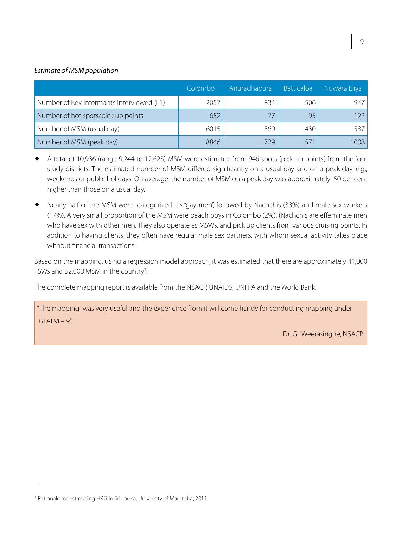#### *Estimate of MSM population*

|                                           | Colombo | Anuradhapura | <b>Batticaloa</b> | Nuwara Eliya |
|-------------------------------------------|---------|--------------|-------------------|--------------|
| Number of Key Informants interviewed (L1) | 2057    | 834          | 506               | 947          |
| Number of hot spots/pick up points        | 652     |              | 95                | 122          |
| Number of MSM (usual day)                 | 6015    | 569          | 430               | 587          |
| Number of MSM (peak day)                  | 8846    | 729          | 571               | 1008         |

- A total of 10,936 (range 9,244 to 12,623) MSM were estimated from 946 spots (pick-up points) from the four study districts. The estimated number of MSM differed significantly on a usual day and on a peak day, e.g., weekends or public holidays. On average, the number of MSM on a peak day was approximately 50 per cent higher than those on a usual day.
- Nearly half of the MSM were categorized as "gay men", followed by Nachchis (33%) and male sex workers (17%). A very small proportion of the MSM were beach boys in Colombo (2%). (Nachchis are effeminate men who have sex with other men. They also operate as MSWs, and pick up clients from various cruising points. In addition to having clients, they often have regular male sex partners, with whom sexual activity takes place without financial transactions.

Based on the mapping, using a regression model approach, it was estimated that there are approximately 41,000 FSWs and 32,000 MSM in the country<sup>3</sup>. .

The complete mapping report is available from the NSACP, UNAIDS, UNFPA and the World Bank.

"The mapping was very useful and the experience from it will come handy for conducting mapping under  $GFATM - 9$ ".

Dr. G. Weerasinghe, NSACP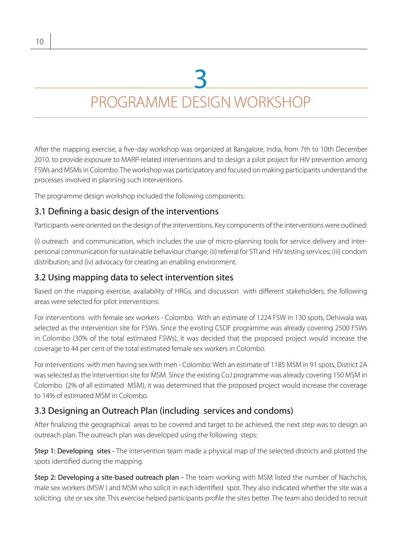# 3

### PROGRAMME DESIGN WORKSHOP

After the mapping exercise, a five-day workshop was organized at Bangalore, India, from 7th to 10th December 2010, to provide exposure to MARP-related interventions and to design a pilot project for HIV prevention among FSWs and MSMs in Colombo. The workshop was participatory and focused on making participants understand the processes involved in planning such interventions.

The programme design workshop included the following components:

#### 3.1 Defining a basic design of the interventions

Participants were oriented on the design of the interventions. Key components of the interventions were outlined:

(i) outreach and communication, which includes the use of micro-planning tools for service delivery and interpersonal communication for sustainable behaviour change; (ii) referral for STI and HIV testing services; (iii) condom distribution; and (iv) advocacy for creating an enabling environment.

#### 3.2 Using mapping data to select intervention sites

Based on the mapping exercise, availability of HRGs, and discussion with different stakeholders, the following areas were selected for pilot interventions:

For interventions with female sex workers - Colombo: With an estimate of 1224 FSW in 130 spots, Dehiwala was selected as the intervention site for FSWs. Since the existing CSDF programme was already covering 2500 FSWs in Colombo (30% of the total estimated FSWs), it was decided that the proposed project would increase the coverage to 44 per cent of the total estimated female sex workers in Colombo.

For interventions with men having sex with men - Colombo: With an estimate of 1185 MSM in 91 spots, District 2A was selected as the intervention site for MSM. Since the existing CoJ programme was already covering 150 MSM in Colombo (2% of all estimated MSM), it was determined that the proposed project would increase the coverage to 14% of estimated MSM in Colombo.

#### 3.3 Designing an Outreach Plan (including services and condoms)

After finalizing the geographical areas to be covered and target to be achieved, the next step was to design an outreach plan. The outreach plan was developed using the following steps:

Step 1: Developing sites - The intervention team made a physical map of the selected districts and plotted the spots identified during the mapping.

Step 2: Developing a site-based outreach plan - The team working with MSM listed the number of Nachchis, male sex workers (MSW ) and MSM who solicit in each identified spot. They also indicated whether the site was a soliciting site or sex site. This exercise helped participants profile the sites better. The team also decided to recruit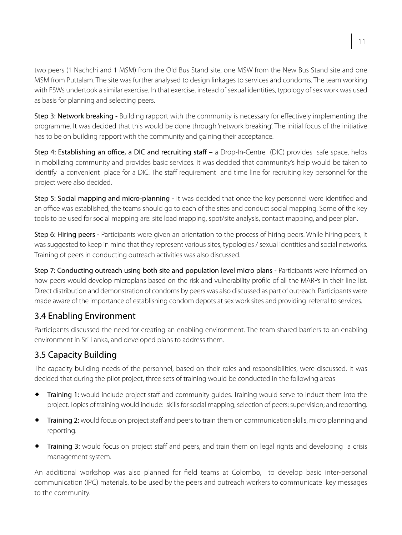two peers (1 Nachchi and 1 MSM) from the Old Bus Stand site, one MSW from the New Bus Stand site and one MSM from Puttalam. The site was further analysed to design linkages to services and condoms. The team working with FSWs undertook a similar exercise. In that exercise, instead of sexual identities, typology of sex work was used as basis for planning and selecting peers.

Step 3: Network breaking - Building rapport with the community is necessary for effectively implementing the programme. It was decided that this would be done through 'network breaking'. The initial focus of the initiative has to be on building rapport with the community and gaining their acceptance.

Step 4: Establishing an office, a DIC and recruiting staff – a Drop-In-Centre (DIC) provides safe space, helps in mobilizing community and provides basic services. It was decided that community's help would be taken to identify a convenient place for a DIC. The staff requirement and time line for recruiting key personnel for the project were also decided.

Step 5: Social mapping and micro-planning - It was decided that once the key personnel were identified and an office was established, the teams should go to each of the sites and conduct social mapping. Some of the key tools to be used for social mapping are: site load mapping, spot/site analysis, contact mapping, and peer plan.

Step 6: Hiring peers - Participants were given an orientation to the process of hiring peers. While hiring peers, it was suggested to keep in mind that they represent various sites, typologies / sexual identities and social networks. Training of peers in conducting outreach activities was also discussed.

Step 7: Conducting outreach using both site and population level micro plans - Participants were informed on how peers would develop microplans based on the risk and vulnerability profile of all the MARPs in their line list. Direct distribution and demonstration of condoms by peers was also discussed as part of outreach. Participants were made aware of the importance of establishing condom depots at sex work sites and providing referral to services.

#### 3.4 Enabling Environment

Participants discussed the need for creating an enabling environment. The team shared barriers to an enabling environment in Sri Lanka, and developed plans to address them.

#### 3.5 Capacity Building

The capacity building needs of the personnel, based on their roles and responsibilities, were discussed. It was decided that during the pilot project, three sets of training would be conducted in the following areas

- **Training 1:** would include project staff and community guides. Training would serve to induct them into the project. Topics of training would include: skills for social mapping; selection of peers; supervision; and reporting.
- Training 2: would focus on project staff and peers to train them on communication skills, micro planning and reporting.
- **Training 3:** would focus on project staff and peers, and train them on legal rights and developing a crisis management system.

An additional workshop was also planned for field teams at Colombo, to develop basic inter-personal communication (IPC) materials, to be used by the peers and outreach workers to communicate key messages to the community.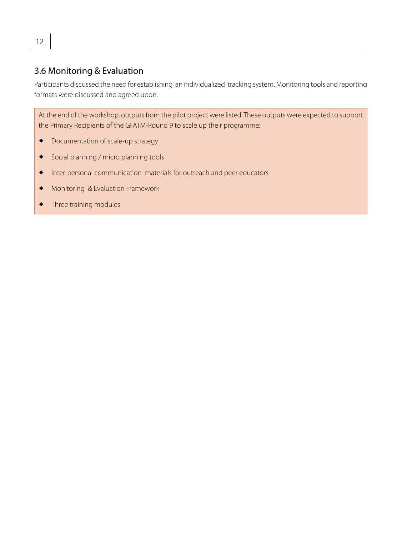#### 3.6 Monitoring & Evaluation

Participants discussed the need for establishing an individualized tracking system. Monitoring tools and reporting formats were discussed and agreed upon.

At the end of the workshop, outputs from the pilot project were listed. These outputs were expected to support the Primary Recipients of the GFATM-Round 9 to scale up their programme:

- $\bullet$  Documentation of scale-up strategy
- Social planning / micro planning tools
- Inter-personal communication materials for outreach and peer educators
- Monitoring & Evaluation Framework
- **Three training modules**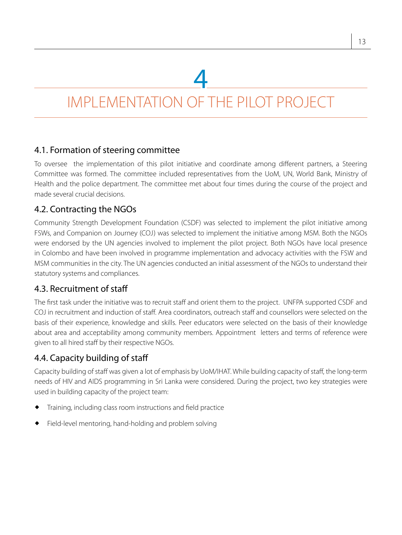4

### IMPLEMENTATION OF THE PILOT PROJECT

#### 4.1. Formation of steering committee

To oversee the implementation of this pilot initiative and coordinate among different partners, a Steering Committee was formed. The committee included representatives from the UoM, UN, World Bank, Ministry of Health and the police department. The committee met about four times during the course of the project and made several crucial decisions.

#### 4.2. Contracting the NGOs

Community Strength Development Foundation (CSDF) was selected to implement the pilot initiative among FSWs, and Companion on Journey (COJ) was selected to implement the initiative among MSM. Both the NGOs were endorsed by the UN agencies involved to implement the pilot project. Both NGOs have local presence in Colombo and have been involved in programme implementation and advocacy activities with the FSW and MSM communities in the city. The UN agencies conducted an initial assessment of the NGOs to understand their statutory systems and compliances.

#### 4.3. Recruitment of staff

The first task under the initiative was to recruit staff and orient them to the project. UNFPA supported CSDF and COJ in recruitment and induction of staff. Area coordinators, outreach staff and counsellors were selected on the basis of their experience, knowledge and skills. Peer educators were selected on the basis of their knowledge about area and acceptability among community members. Appointment letters and terms of reference were given to all hired staff by their respective NGOs.

#### 4.4. Capacity building of staff

Capacity building of staff was given a lot of emphasis by UoM/IHAT. While building capacity of staff, the long-term needs of HIV and AIDS programming in Sri Lanka were considered. During the project, two key strategies were used in building capacity of the project team:

- Training, including class room instructions and field practice
- Field-level mentoring, hand-holding and problem solving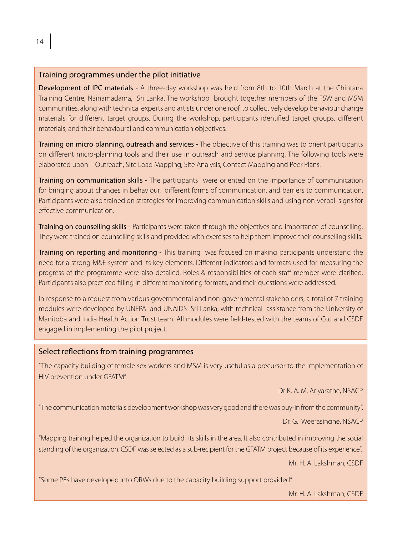#### Training programmes under the pilot initiative

Development of IPC materials - A three-day workshop was held from 8th to 10th March at the Chintana Training Centre, Nainamadama, Sri Lanka. The workshop brought together members of the FSW and MSM communities, along with technical experts and artists under one roof, to collectively develop behaviour change materials for different target groups. During the workshop, participants identified target groups, different materials, and their behavioural and communication objectives.

Training on micro planning, outreach and services - The objective of this training was to orient participants on different micro-planning tools and their use in outreach and service planning. The following tools were elaborated upon – Outreach, Site Load Mapping, Site Analysis, Contact Mapping and Peer Plans.

Training on communication skills - The participants were oriented on the importance of communication for bringing about changes in behaviour, different forms of communication, and barriers to communication. Participants were also trained on strategies for improving communication skills and using non-verbal signs for effective communication.

Training on counselling skills - Participants were taken through the objectives and importance of counselling. They were trained on counselling skills and provided with exercises to help them improve their counselling skills.

Training on reporting and monitoring - This training was focused on making participants understand the need for a strong M&E system and its key elements. Different indicators and formats used for measuring the progress of the programme were also detailed. Roles & responsibilities of each staff member were clarified. Participants also practiced filling in different monitoring formats, and their questions were addressed.

In response to a request from various governmental and non-governmental stakeholders, a total of 7 training modules were developed by UNFPA and UNAIDS Sri Lanka, with technical assistance from the University of Manitoba and India Health Action Trust team. All modules were field-tested with the teams of CoJ and CSDF engaged in implementing the pilot project.

#### Select reflections from training programmes

"The capacity building of female sex workers and MSM is very useful as a precursor to the implementation of HIV prevention under GFATM".

Dr K. A. M. Ariyaratne, NSACP

"The communication materials development workshop was very good and there was buy-in from the community".

Dr. G. Weerasinghe, NSACP

"Mapping training helped the organization to build its skills in the area. It also contributed in improving the social standing of the organization. CSDF was selected as a sub-recipient for the GFATM project because of its experience".

Mr. H. A. Lakshman, CSDF

"Some PEs have developed into ORWs due to the capacity building support provided".

Mr. H. A. Lakshman, CSDF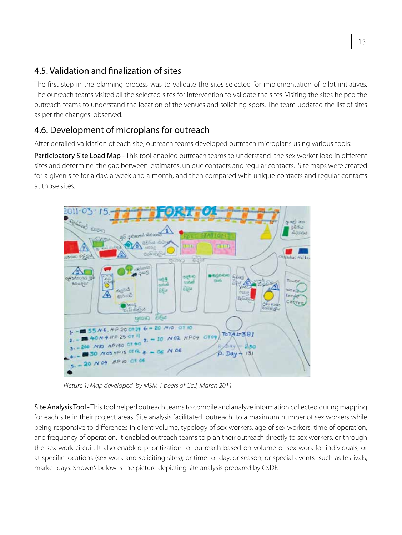#### 4.5. Validation and finalization of sites

The first step in the planning process was to validate the sites selected for implementation of pilot initiatives. The outreach teams visited all the selected sites for intervention to validate the sites. Visiting the sites helped the outreach teams to understand the location of the venues and soliciting spots. The team updated the list of sites as per the changes observed.

#### 4.6. Development of microplans for outreach

After detailed validation of each site, outreach teams developed outreach microplans using various tools:

Participatory Site Load Map - This tool enabled outreach teams to understand the sex worker load in different sites and determine the gap between estimates, unique contacts and regular contacts. Site maps were created for a given site for a day, a week and a month, and then compared with unique contacts and regular contacts at those sites.



*Picture 1: Map developed by MSM-T peers of CoJ, March 2011*

Site Analysis Tool - This tool helped outreach teams to compile and analyze information collected during mapping for each site in their project areas. Site analysis facilitated outreach to a maximum number of sex workers while being responsive to differences in client volume, typology of sex workers, age of sex workers, time of operation, and frequency of operation. It enabled outreach teams to plan their outreach directly to sex workers, or through the sex work circuit. It also enabled prioritization of outreach based on volume of sex work for individuals, or at specific locations (sex work and soliciting sites); or time of day, or season, or special events such as festivals, market days. Shown\ below is the picture depicting site analysis prepared by CSDF.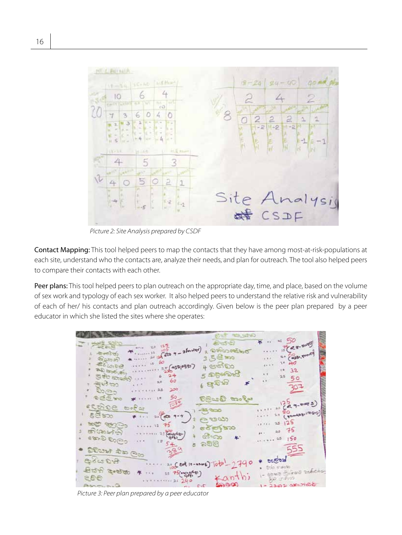

*Picture 2: Site Analysis prepared by CSDF*

Contact Mapping: This tool helped peers to map the contacts that they have among most-at-risk-populations at each site, understand who the contacts are, analyze their needs, and plan for outreach. The tool also helped peers to compare their contacts with each other.

Peer plans: This tool helped peers to plan outreach on the appropriate day, time, and place, based on the volume of sex work and typology of each sex worker. It also helped peers to understand the relative risk and vulnerability of each of her/ his contacts and plan outreach accordingly. Given below is the peer plan prepared by a peer educator in which she listed the sites where she operates:

|                                                               | متحت                        |                                 |
|---------------------------------------------------------------|-----------------------------|---------------------------------|
| $-20.9$<br>61718                                              | おふむ<br>2 อาร์ชวดอัตว์       | $12 (28 - 50005)$               |
| $= 12\sqrt{600 - 3 \ln 100}$<br>-breakdy<br>கித்தை            | 3 5 et mo                   | esp, tran<br>4.7.7              |
| 10000<br><b>BoastB</b><br>250,6357<br><b>AD and usy</b><br>28 | 4.856500                    | $+0$<br>84.4.4<br>35            |
| துச்சி கைக்டு<br>24<br>60<br>5.0                              | 2 කුසියොසි                  | 50                              |
| معاقبهم<br>goGo<br>100<br>2.5                                 | $\mathcal{L}_{\mathcal{L}}$ |                                 |
| 50<br>oce sho                                                 | நிலை மேதி                   |                                 |
| ecosoe<br>ರಾಂಧಿಯ                                              | -ಕ್ರಿಕೆ ಕಾಂ                 | $(1)$ = $(A, q, m)$             |
| රිජිකා<br>20 GB<br><b>මෙයිනු කුගු</b>                         | ೧೮೮೧                        | (Youngay, 1999)<br>125<br>25.   |
| 75<br>あるとず                                                    | ಕನ್ನಡ ಕಾಂ                   | 75<br>a.s                       |
| <b>Cambro</b><br>card Cres<br>$185 +$                         | အိဳးသာ<br>556               | 150                             |
| cog at watt                                                   |                             |                                 |
| 8-0000                                                        | 21 (est 10-mars) Tota-2740  |                                 |
| திக்கி சேதி<br>11 75( 2)                                      |                             | codera cico<br>awa Errad tahoha |
| 889                                                           |                             | BR STOP<br><b>CONTRACTOR</b>    |

*Picture 3: Peer plan prepared by a peer educator*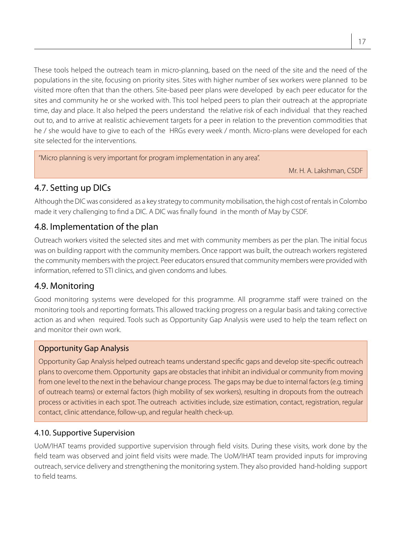These tools helped the outreach team in micro-planning, based on the need of the site and the need of the populations in the site, focusing on priority sites. Sites with higher number of sex workers were planned to be visited more often that than the others. Site-based peer plans were developed by each peer educator for the sites and community he or she worked with. This tool helped peers to plan their outreach at the appropriate time, day and place. It also helped the peers understand the relative risk of each individual that they reached out to, and to arrive at realistic achievement targets for a peer in relation to the prevention commodities that he / she would have to give to each of the HRGs every week / month. Micro-plans were developed for each site selected for the interventions.

"Micro planning is very important for program implementation in any area".

Mr. H. A. Lakshman, CSDF

#### 4.7. Setting up DICs

Although the DIC was considered as a key strategy to community mobilisation, the high cost of rentals in Colombo made it very challenging to find a DIC. A DIC was finally found in the month of May by CSDF.

#### 4.8. Implementation of the plan

Outreach workers visited the selected sites and met with community members as per the plan. The initial focus was on building rapport with the community members. Once rapport was built, the outreach workers registered the community members with the project. Peer educators ensured that community members were provided with information, referred to STI clinics, and given condoms and lubes.

#### 4.9. Monitoring

Good monitoring systems were developed for this programme. All programme staff were trained on the monitoring tools and reporting formats. This allowed tracking progress on a regular basis and taking corrective action as and when required. Tools such as Opportunity Gap Analysis were used to help the team reflect on and monitor their own work.

#### Opportunity Gap Analysis

Opportunity Gap Analysis helped outreach teams understand specific gaps and develop site-specific outreach plans to overcome them. Opportunity gaps are obstacles that inhibit an individual or community from moving from one level to the next in the behaviour change process. The gaps may be due to internal factors (e.g. timing of outreach teams) or external factors (high mobility of sex workers), resulting in dropouts from the outreach process or activities in each spot. The outreach activities include, size estimation, contact, registration, regular contact, clinic attendance, follow-up, and regular health check-up.

#### 4.10. Supportive Supervision

UoM/IHAT teams provided supportive supervision through field visits. During these visits, work done by the field team was observed and joint field visits were made. The UoM/IHAT team provided inputs for improving outreach, service delivery and strengthening the monitoring system. They also provided hand-holding support to field teams.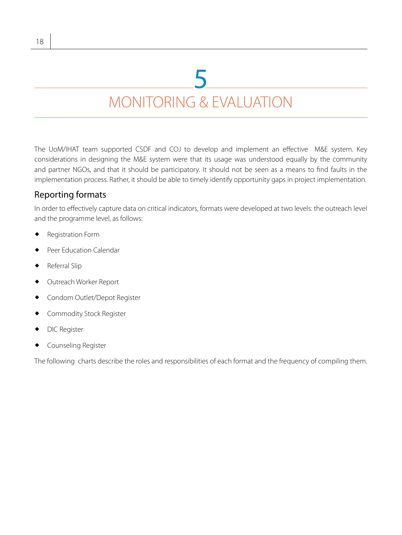### MONITORING & EVALUATION 5

The UoM/IHAT team supported CSDF and COJ to develop and implement an effective M&E system. Key considerations in designing the M&E system were that its usage was understood equally by the community and partner NGOs, and that it should be participatory. It should not be seen as a means to find faults in the implementation process. Rather, it should be able to timely identify opportunity gaps in project implementation.

#### Reporting formats

In order to effectively capture data on critical indicators, formats were developed at two levels: the outreach level and the programme level, as follows:

- Registration Form
- Peer Education Calendar
- Referral Slip
- Outreach Worker Report
- Condom Outlet/Depot Register
- Commodity Stock Register
- DIC Register
- Counseling Register

The following charts describe the roles and responsibilities of each format and the frequency of compiling them.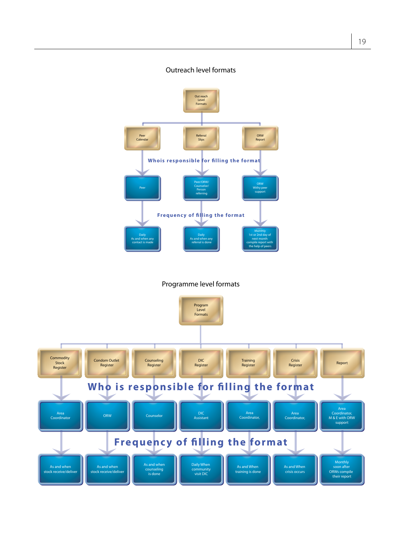#### Outreach level formats



#### Programme level formats

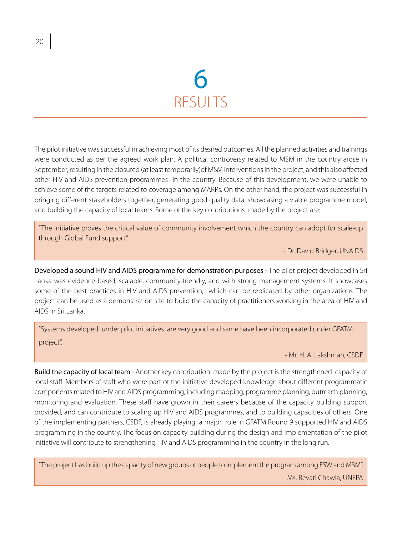### **RESULTS** 6

The pilot initiative was successful in achieving most of its desired outcomes. All the planned activities and trainings were conducted as per the agreed work plan. A political controversy related to MSM in the country arose in September, resulting in the closured (at least temporarily)of MSM interventions in the project, and this also affected other HIV and AIDS prevention programmes in the country. Because of this development, we were unable to achieve some of the targets related to coverage among MARPs. On the other hand, the project was successful in bringing different stakeholders together, generating good quality data, showcasing a viable programme model, and building the capacity of local teams. Some of the key contributions made by the project are:

"The initiative proves the critical value of community involvement which the country can adopt for scale-up through Global Fund support."

- Dr. David Bridger, UNAIDS

Developed a sound HIV and AIDS programme for demonstration purposes - The pilot project developed in Sri Lanka was evidence-based, scalable, community-friendly, and with strong management systems. It showcases some of the best practices in HIV and AIDS prevention, which can be replicated by other organizations. The project can be used as a demonstration site to build the capacity of practitioners working in the area of HIV and AIDS in Sri Lanka.

"Systems developed under pilot initiatives are very good and same have been incorporated under GFATM project".

- Mr. H. A. Lakshman, CSDF

Build the capacity of local team - Another key contribution made by the project is the strengthened capacity of local staff. Members of staff who were part of the initiative developed knowledge about different programmatic components related to HIV and AIDS programming, including mapping, programme planning, outreach planning, monitoring and evaluation. These staff have grown in their careers because of the capacity building support provided, and can contribute to scaling up HIV and AIDS programmes, and to building capacities of others. One of the implementing partners, CSDF, is already playing a major role in GFATM Round 9 supported HIV and AIDS programming in the country. The focus on capacity building during the design and implementation of the pilot initiative will contribute to strengthening HIV and AIDS programming in the country in the long run.

"The project has build up the capacity of new groups of people to implement the program among FSW and MSM". - Ms. Revati Chawla, UNFPA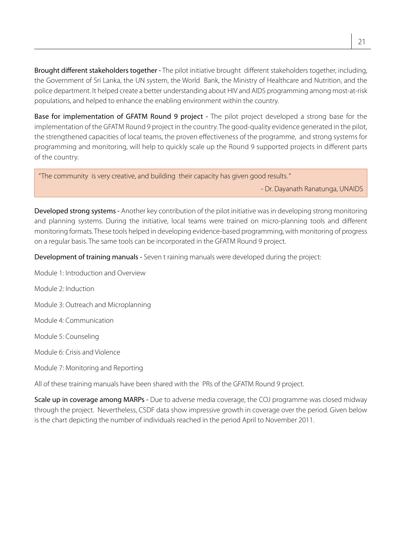Brought different stakeholders together - The pilot initiative brought different stakeholders together, including, the Government of Sri Lanka, the UN system, the World Bank, the Ministry of Healthcare and Nutrition, and the police department. It helped create a better understanding about HIV and AIDS programming among most-at-risk populations, and helped to enhance the enabling environment within the country.

Base for implementation of GFATM Round 9 project - The pilot project developed a strong base for the implementation of the GFATM Round 9 project in the country. The good-quality evidence generated in the pilot, the strengthened capacities of local teams, the proven effectiveness of the programme, and strong systems for programming and monitoring, will help to quickly scale up the Round 9 supported projects in different parts of the country.

"The community is very creative, and building their capacity has given good results. "

- Dr. Dayanath Ranatunga, UNAIDS

Developed strong systems - Another key contribution of the pilot initiative was in developing strong monitoring and planning systems. During the initiative, local teams were trained on micro-planning tools and different monitoring formats. These tools helped in developing evidence-based programming, with monitoring of progress on a regular basis. The same tools can be incorporated in the GFATM Round 9 project.

Development of training manuals - Seven t raining manuals were developed during the project:

Module 1: Introduction and Overview

Module 2: Induction

Module 3: Outreach and Microplanning

Module 4: Communication

Module 5: Counseling

Module 6: Crisis and Violence

Module 7: Monitoring and Reporting

All of these training manuals have been shared with the PRs of the GFATM Round 9 project.

Scale up in coverage among MARPs - Due to adverse media coverage, the COJ programme was closed midway through the project. Nevertheless, CSDF data show impressive growth in coverage over the period. Given below is the chart depicting the number of individuals reached in the period April to November 2011.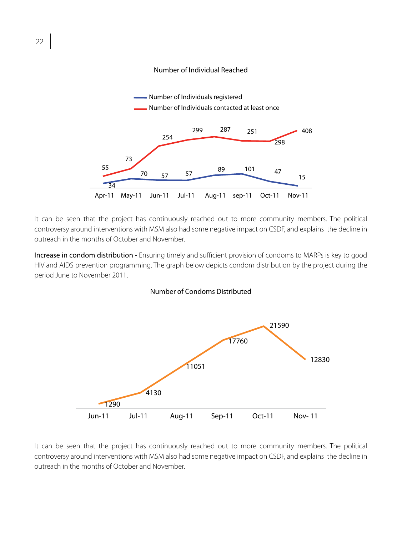



It can be seen that the project has continuously reached out to more community members. The political controversy around interventions with MSM also had some negative impact on CSDF, and explains the decline in outreach in the months of October and November.

Increase in condom distribution - Ensuring timely and sufficient provision of condoms to MARPs is key to good HIV and AIDS prevention programming. The graph below depicts condom distribution by the project during the period June to November 2011.





It can be seen that the project has continuously reached out to more community members. The political controversy around interventions with MSM also had some negative impact on CSDF, and explains the decline in outreach in the months of October and November.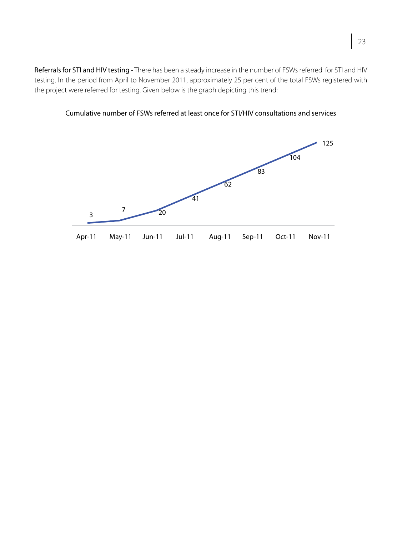Referrals for STI and HIV testing - There has been a steady increase in the number of FSWs referred for STI and HIV testing. In the period from April to November 2011, approximately 25 per cent of the total FSWs registered with the project were referred for testing. Given below is the graph depicting this trend:



Cumulative number of FSWs referred at least once for STI/HIV consultations and services Cumulative number of FSWs referred atleast once for FSWS referred at least once for STI/HIV consul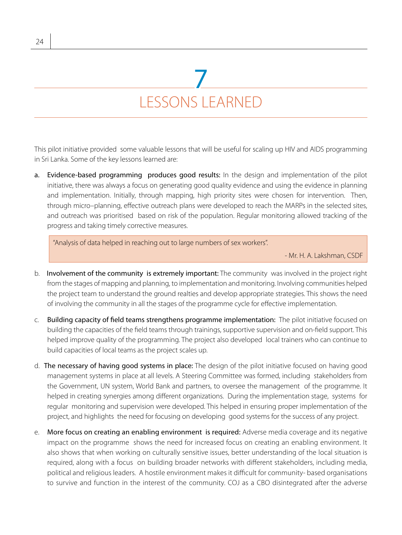### LESSONS LEARNED 7

This pilot initiative provided some valuable lessons that will be useful for scaling up HIV and AIDS programming in Sri Lanka. Some of the key lessons learned are:

a. Evidence-based programming produces good results: In the design and implementation of the pilot initiative, there was always a focus on generating good quality evidence and using the evidence in planning and implementation. Initially, through mapping, high priority sites were chosen for intervention. Then, through micro–planning, effective outreach plans were developed to reach the MARPs in the selected sites, and outreach was prioritised based on risk of the population. Regular monitoring allowed tracking of the progress and taking timely corrective measures.

"Analysis of data helped in reaching out to large numbers of sex workers".

- Mr. H. A. Lakshman, CSDF

- b. Involvement of the community is extremely important: The community was involved in the project right from the stages of mapping and planning, to implementation and monitoring. Involving communities helped the project team to understand the ground realties and develop appropriate strategies. This shows the need of involving the community in all the stages of the programme cycle for effective implementation.
- c. Building capacity of field teams strengthens programme implementation: The pilot initiative focused on building the capacities of the field teams through trainings, supportive supervision and on-field support. This helped improve quality of the programming. The project also developed local trainers who can continue to build capacities of local teams as the project scales up.
- d. The necessary of having good systems in place: The design of the pilot initiative focused on having good management systems in place at all levels. A Steering Committee was formed, including stakeholders from the Government, UN system, World Bank and partners, to oversee the management of the programme. It helped in creating synergies among different organizations. During the implementation stage, systems for regular monitoring and supervision were developed. This helped in ensuring proper implementation of the project, and highlights the need for focusing on developing good systems for the success of any project.
- e. More focus on creating an enabling environment is required: Adverse media coverage and its negative impact on the programme shows the need for increased focus on creating an enabling environment. It also shows that when working on culturally sensitive issues, better understanding of the local situation is required, along with a focus on building broader networks with different stakeholders, including media, political and religious leaders. A hostile environment makes it difficult for community- based organisations to survive and function in the interest of the community. COJ as a CBO disintegrated after the adverse

24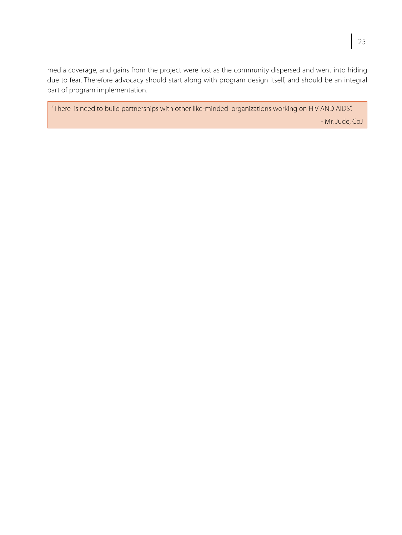media coverage, and gains from the project were lost as the community dispersed and went into hiding due to fear. Therefore advocacy should start along with program design itself, and should be an integral part of program implementation.

"There is need to build partnerships with other like-minded organizations working on HIV AND AIDS". - Mr. Jude, CoJ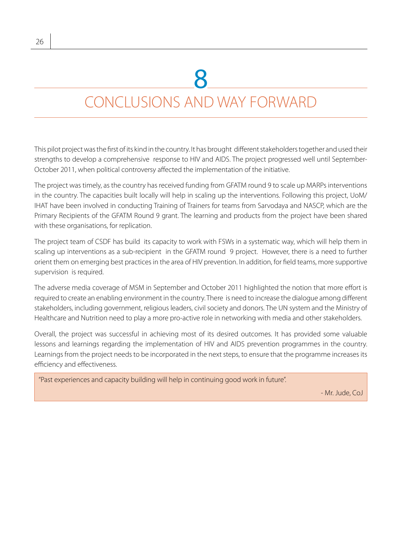## 8

### CONCLUSIONS AND WAY FORWARD

This pilot project was the first of its kind in the country. It has brought different stakeholders together and used their strengths to develop a comprehensive response to HIV and AIDS. The project progressed well until September-October 2011, when political controversy affected the implementation of the initiative.

The project was timely, as the country has received funding from GFATM round 9 to scale up MARPs interventions in the country. The capacities built locally will help in scaling up the interventions. Following this project, UoM/ IHAT have been involved in conducting Training of Trainers for teams from Sarvodaya and NASCP, which are the Primary Recipients of the GFATM Round 9 grant. The learning and products from the project have been shared with these organisations, for replication.

The project team of CSDF has build its capacity to work with FSWs in a systematic way, which will help them in scaling up interventions as a sub-recipient in the GFATM round 9 project. However, there is a need to further orient them on emerging best practices in the area of HIV prevention. In addition, for field teams, more supportive supervision is required.

The adverse media coverage of MSM in September and October 2011 highlighted the notion that more effort is required to create an enabling environment in the country. There is need to increase the dialogue among different stakeholders, including government, religious leaders, civil society and donors. The UN system and the Ministry of Healthcare and Nutrition need to play a more pro-active role in networking with media and other stakeholders.

Overall, the project was successful in achieving most of its desired outcomes. It has provided some valuable lessons and learnings regarding the implementation of HIV and AIDS prevention programmes in the country. Learnings from the project needs to be incorporated in the next steps, to ensure that the programme increases its efficiency and effectiveness.

"Past experiences and capacity building will help in continuing good work in future".

- Mr. Jude, CoJ